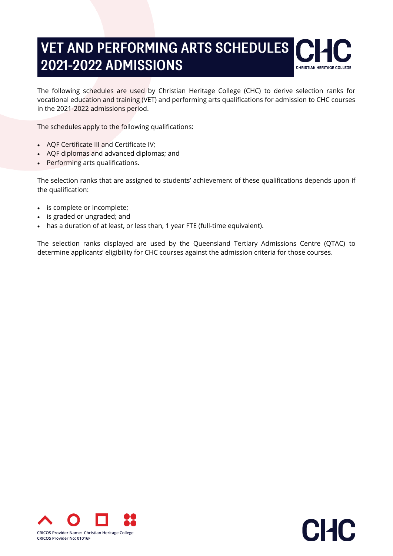# **VET AND PERFORMING ARTS SCHEDULES 2021-2022 ADMISSIONS**



The following schedules are used by Christian Heritage College (CHC) to derive selection ranks for vocational education and training (VET) and performing arts qualifications for admission to CHC courses in the 2021-2022 admissions period.

The schedules apply to the following qualifications:

- AQF Certificate III and Certificate IV;
- AQF diplomas and advanced diplomas; and
- Performing arts qualifications.

The selection ranks that are assigned to students' achievement of these qualifications depends upon if the qualification:

- is complete or incomplete;
- is graded or ungraded; and
- has a duration of at least, or less than, 1 year FTE (full-time equivalent).

The selection ranks displayed are used by the Queensland Tertiary Admissions Centre (QTAC) to determine applicants' eligibility for CHC courses against the admission criteria for those courses.



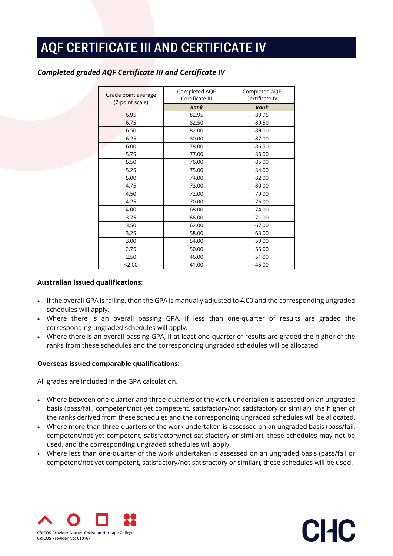# AQF CERTIFICATE III AND CERTIFICATE IV

| Grade point average<br>(7-point scale) | Completed AQF<br>Certificate III | Completed AQF<br>Certificate IV |
|----------------------------------------|----------------------------------|---------------------------------|
|                                        | Rank                             | Rank                            |
| 6.95                                   | 82.95                            | 89.95                           |
| 6.75                                   | 82.50                            | 89.50                           |
| 6.50                                   | 82.00                            | 89.00                           |
| 6.25                                   | 80.00                            | 87.00                           |
| 6.00                                   | 78.00                            | 86.50                           |
| 5.75                                   | 77.00                            | 86.00                           |
| 5.50                                   | 76.00                            | 85.00                           |
| 5.25                                   | 75.00                            | 84.00                           |
| 5.00                                   | 74.00                            | 82.00                           |
| 4.75                                   | 73.00                            | 80.00                           |
| 4.50                                   | 72.00                            | 79.00                           |
| 4.25                                   | 70.00                            | 76.00                           |
| 4.00                                   | 68.00                            | 74.00                           |
| 3.75                                   | 66.00                            | 71.00                           |
| 3.50                                   | 62.00                            | 67.00                           |
| 3.25                                   | 58.00                            | 63.00                           |
| 3.00                                   | 54.00                            | 59.00                           |
| 2.75                                   | 50.00                            | 55.00                           |
| 2.50                                   | 46.00                            | 51.00                           |
| 2.00                                   | 41.00                            | 45.00                           |

### *Completed graded AQF Certificate III and Certificate IV*

### **Australian issued qualifications**:

- If the overall GPA is failing, then the GPA is manually adjusted to 4.00 and the corresponding ungraded schedules will apply.
- Where there is an overall passing GPA, if less than one-quarter of results are graded the corresponding ungraded schedules will apply.
- Where there is an overall passing GPA, if at least one-quarter of results are graded the higher of the ranks from these schedules and the corresponding ungraded schedules will be allocated.

### **Overseas issued comparable qualifications:**

All grades are included in the GPA calculation.

- Where between one-quarter and three-quarters of the work undertaken is assessed on an ungraded basis (pass/fail, competent/not yet competent, satisfactory/not satisfactory or similar), the higher of the ranks derived from these schedules and the corresponding ungraded schedules will be allocated.
- Where more than three-quarters of the work undertaken is assessed on an ungraded basis (pass/fail, competent/not yet competent, satisfactory/not satisfactory or similar), these schedules may not be used, and the corresponding ungraded schedules will apply.
- Where less than one-quarter of the work undertaken is assessed on an ungraded basis (pass/fail or competent/not yet competent, satisfactory/not satisfactory or similar), these schedules will be used.



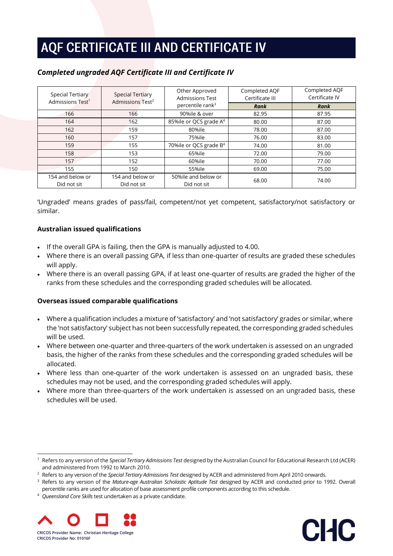# AQF CERTIFICATE III AND CERTIFICATE IV

| <b>Special Tertiary</b><br>Admissions Test <sup>1</sup> | <b>Special Tertiary</b><br>Admissions Test <sup>2</sup> | Other Approved<br><b>Admissions Test</b> |       | Completed AQF<br>Certificate IV |
|---------------------------------------------------------|---------------------------------------------------------|------------------------------------------|-------|---------------------------------|
|                                                         |                                                         | percentile rank <sup>3</sup>             | Rank  | Rank                            |
| 166                                                     | 166                                                     | 90%ile & over                            | 82.95 | 87.95                           |
| 164                                                     | 162                                                     | 85%ile or QCS grade A <sup>4</sup>       | 80.00 | 87.00                           |
| 162                                                     | 159                                                     | 80%ile                                   | 78.00 | 87.00                           |
| 160                                                     | 157                                                     | 75%ile                                   | 76.00 | 83.00                           |
| 159                                                     | 155                                                     | 70%ile or QCS grade B <sup>4</sup>       | 74.00 | 81.00                           |
| 158                                                     | 153                                                     | 65%ile                                   | 72.00 | 79.00                           |
| 157                                                     | 152                                                     | 60%ile                                   | 70.00 | 77.00                           |
| 155                                                     | 150                                                     | 55%ile                                   | 69.00 | 75.00                           |
| 154 and below or                                        | 154 and below or                                        | 50%ile and below or                      | 68.00 | 74.00                           |
| Did not sit                                             | Did not sit                                             | Did not sit                              |       |                                 |

## *Completed ungraded AQF Certificate III and Certificate IV*

'Ungraded' means grades of pass/fail, competent/not yet competent, satisfactory/not satisfactory or similar.

### **Australian issued qualifications**

- If the overall GPA is failing, then the GPA is manually adjusted to 4.00.
- Where there is an overall passing GPA, if less than one-quarter of results are graded these schedules will apply.
- Where there is an overall passing GPA, if at least one-quarter of results are graded the higher of the ranks from these schedules and the corresponding graded schedules will be allocated.

### **Overseas issued comparable qualifications**

- Where a qualification includes a mixture of 'satisfactory' and 'not satisfactory' grades or similar, where the 'not satisfactory' subject has not been successfully repeated, the corresponding graded schedules will be used.
- Where between one-quarter and three-quarters of the work undertaken is assessed on an ungraded basis, the higher of the ranks from these schedules and the corresponding graded schedules will be allocated.
- Where less than one-quarter of the work undertaken is assessed on an ungraded basis, these schedules may not be used, and the corresponding graded schedules will apply.
- Where more than three-quarters of the work undertaken is assessed on an ungraded basis, these schedules will be used.

<sup>4</sup> *Queensland Core Skills* test undertaken as a private candidate.





<sup>1</sup> Refers to any version of the *Special Tertiary Admissions Test* designed by the Australian Council for Educational Research Ltd (ACER) and administered from 1992 to March 2010.

<sup>2</sup> Refers to any version of the *Special Tertiary Admissions Test* designed by ACER and administered from April 2010 onwards.

<sup>3</sup> Refers to any version of the *Mature-age Australian Scholastic Aptitude Test* designed by ACER and conducted prior to 1992. Overall percentile ranks are used for allocation of base assessment profile components according to this schedule.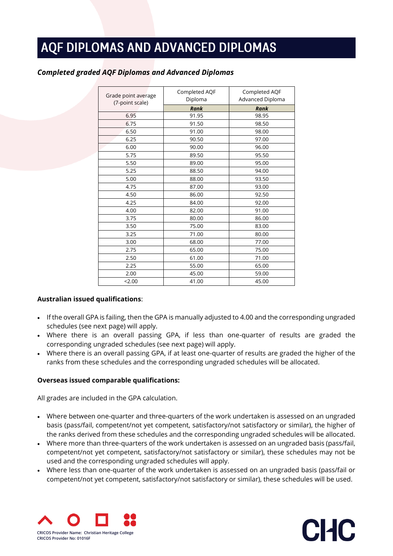| Grade point average<br>(7-point scale) | Completed AQF<br>Diploma | Completed AQF<br>Advanced Diploma |
|----------------------------------------|--------------------------|-----------------------------------|
|                                        | <b>Rank</b>              | Rank                              |
| 6.95                                   | 91.95                    | 98.95                             |
| 6.75                                   | 91.50                    | 98.50                             |
| 6.50                                   | 91.00                    | 98.00                             |
| 6.25                                   | 90.50                    | 97.00                             |
| 6.00                                   | 90.00                    | 96.00                             |
| 5.75                                   | 89.50                    | 95.50                             |
| 5.50                                   | 89.00                    | 95.00                             |
| 5.25                                   | 88.50                    | 94.00                             |
| 5.00                                   | 88.00                    | 93.50                             |
| 4.75                                   | 87.00                    | 93.00                             |
| 4.50                                   | 86.00                    | 92.50                             |
| 4.25                                   | 84.00                    | 92.00                             |
| 4.00                                   | 82.00                    | 91.00                             |
| 3.75                                   | 80.00                    | 86.00                             |
| 3.50                                   | 75.00                    | 83.00                             |
| 3.25                                   | 71.00                    | 80.00                             |
| 3.00                                   | 68.00                    | 77.00                             |
| 2.75                                   | 65.00                    | 75.00                             |
| 2.50                                   | 61.00                    | 71.00                             |
| 2.25                                   | 55.00                    | 65.00                             |
| 2.00                                   | 45.00                    | 59.00                             |
| 2.00                                   | 41.00                    | 45.00                             |

## *Completed graded AQF Diplomas and Advanced Diplomas*

### **Australian issued qualifications**:

- If the overall GPA is failing, then the GPA is manually adjusted to 4.00 and the corresponding ungraded schedules (see next page) will apply.
- Where there is an overall passing GPA, if less than one-quarter of results are graded the corresponding ungraded schedules (see next page) will apply.
- Where there is an overall passing GPA, if at least one-quarter of results are graded the higher of the ranks from these schedules and the corresponding ungraded schedules will be allocated.

### **Overseas issued comparable qualifications:**

All grades are included in the GPA calculation.

- Where between one-quarter and three-quarters of the work undertaken is assessed on an ungraded basis (pass/fail, competent/not yet competent, satisfactory/not satisfactory or similar), the higher of the ranks derived from these schedules and the corresponding ungraded schedules will be allocated.
- Where more than three-quarters of the work undertaken is assessed on an ungraded basis (pass/fail, competent/not yet competent, satisfactory/not satisfactory or similar), these schedules may not be used and the corresponding ungraded schedules will apply.
- Where less than one-quarter of the work undertaken is assessed on an ungraded basis (pass/fail or competent/not yet competent, satisfactory/not satisfactory or similar), these schedules will be used.

CHC

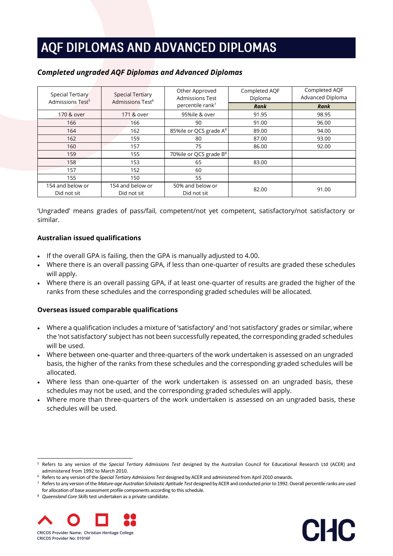| Special Tertiary<br>Admissions Test <sup>5</sup> | <b>Special Tertiary</b><br>Admissions Test <sup>6</sup> | Other Approved<br><b>Admissions Test</b> | Completed AQF<br>Diploma | Completed AQF<br>Advanced Diploma |
|--------------------------------------------------|---------------------------------------------------------|------------------------------------------|--------------------------|-----------------------------------|
|                                                  |                                                         | percentile rank <sup>7</sup>             | Rank                     | <b>Rank</b>                       |
| 170 & over                                       | 171 & over                                              | 95%ile & over                            | 91.95                    | 98.95                             |
| 166                                              | 166                                                     | 90                                       | 91.00                    | 96.00                             |
| 164                                              | 162                                                     | 85%ile or QCS grade A <sup>8</sup>       | 89.00                    | 94.00                             |
| 162                                              | 159                                                     | 80                                       | 87.00                    | 93.00                             |
| 160                                              | 157                                                     | 75                                       | 86.00                    | 92.00                             |
| 159                                              | 155                                                     | 70%ile or QCS grade B <sup>8</sup>       |                          |                                   |
| 158                                              | 153                                                     | 65                                       | 83.00                    |                                   |
| 157                                              | 152                                                     | 60                                       |                          |                                   |
| 155                                              | 150                                                     | 55                                       |                          |                                   |
| 154 and below or                                 | 154 and below or                                        | 50% and below or                         | 82.00                    | 91.00                             |
| Did not sit                                      | Did not sit                                             | Did not sit                              |                          |                                   |

### *Completed ungraded AQF Diplomas and Advanced Diplomas*

'Ungraded' means grades of pass/fail, competent/not yet competent, satisfactory/not satisfactory or similar.

### **Australian issued qualifications**

- If the overall GPA is failing, then the GPA is manually adjusted to 4.00.
- Where there is an overall passing GPA, if less than one-quarter of results are graded these schedules will apply.
- Where there is an overall passing GPA, if at least one-quarter of results are graded the higher of the ranks from these schedules and the corresponding graded schedules will be allocated.

### **Overseas issued comparable qualifications**

- Where a qualification includes a mixture of 'satisfactory' and 'not satisfactory' grades or similar, where the 'not satisfactory' subject has not been successfully repeated, the corresponding graded schedules will be used.
- Where between one-quarter and three-quarters of the work undertaken is assessed on an ungraded basis, the higher of the ranks from these schedules and the corresponding graded schedules will be allocated.
- Where less than one-quarter of the work undertaken is assessed on an ungraded basis, these schedules may not be used, and the corresponding graded schedules will apply.
- Where more than three-quarters of the work undertaken is assessed on an ungraded basis, these schedules will be used.

CHC

<sup>8</sup> *Queensland Core Skills* test undertaken as a private candidate.



<sup>5</sup> Refers to any version of the *Special Tertiary Admissions Test* designed by the Australian Council for Educational Research Ltd (ACER) and administered from 1992 to March 2010.

<sup>6</sup> Refers to any version of the *Special Tertiary Admissions Test* designed by ACER and administered from April 2010 onwards.

<sup>&</sup>lt;sup>7</sup> Refers to any version of the *Mature-age Australian Scholastic Aptitude Test* designed by ACER and conducted prior to 1992. Overall percentile ranks are used for allocation of base assessment profile components according to this schedule.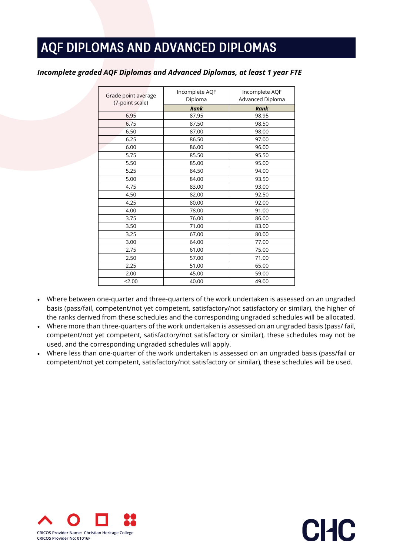### *Incomplete graded AQF Diplomas and Advanced Diplomas, at least 1 year FTE*

| Grade point average | Incomplete AQF | Incomplete AQF   |
|---------------------|----------------|------------------|
| (7-point scale)     | Diploma        | Advanced Diploma |
|                     | <b>Rank</b>    | <b>Rank</b>      |
| 6.95                | 87.95          | 98.95            |
| 6.75                | 87.50          | 98.50            |
| 6.50                | 87.00          | 98.00            |
| 6.25                | 86.50          | 97.00            |
| 6.00                | 86.00          | 96.00            |
| 5.75                | 85.50          | 95.50            |
| 5.50                | 85.00          | 95.00            |
| 5.25                | 84.50          | 94.00            |
| 5.00                | 84.00          | 93.50            |
| 4.75                | 83.00          | 93.00            |
| 4.50                | 82.00          | 92.50            |
| 4.25                | 80.00          | 92.00            |
| 4.00                | 78.00          | 91.00            |
| 3.75                | 76.00          | 86.00            |
| 3.50                | 71.00          | 83.00            |
| 3.25                | 67.00          | 80.00            |
| 3.00                | 64.00          | 77.00            |
| 2.75                | 61.00          | 75.00            |
| 2.50                | 57.00          | 71.00            |
| 2.25                | 51.00          | 65.00            |
| 2.00                | 45.00          | 59.00            |
| 2.00                | 40.00          | 49.00            |

- Where between one-quarter and three-quarters of the work undertaken is assessed on an ungraded basis (pass/fail, competent/not yet competent, satisfactory/not satisfactory or similar), the higher of the ranks derived from these schedules and the corresponding ungraded schedules will be allocated.
- Where more than three-quarters of the work undertaken is assessed on an ungraded basis (pass/ fail, competent/not yet competent, satisfactory/not satisfactory or similar), these schedules may not be used, and the corresponding ungraded schedules will apply.
- Where less than one-quarter of the work undertaken is assessed on an ungraded basis (pass/fail or competent/not yet competent, satisfactory/not satisfactory or similar), these schedules will be used.

CHC

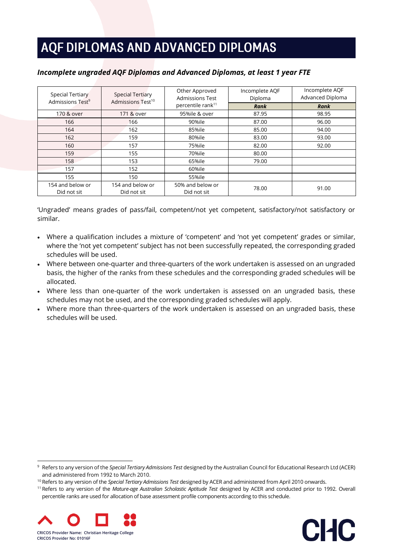### *Incomplete ungraded AQF Diplomas and Advanced Diplomas, at least 1 year FTE*

| <b>Special Tertiary</b><br>Admissions Test <sup>9</sup> | <b>Special Tertiary</b><br>Admissions Test <sup>10</sup> | Other Approved<br><b>Admissions Test</b> | Incomplete AQF<br>Diploma | Incomplete AQF<br>Advanced Diploma |
|---------------------------------------------------------|----------------------------------------------------------|------------------------------------------|---------------------------|------------------------------------|
|                                                         |                                                          | percentile rank <sup>11</sup>            | Rank                      | <b>Rank</b>                        |
| 170 & over                                              | 171 & over                                               | 95%ile & over                            | 87.95                     | 98.95                              |
| 166                                                     | 166                                                      | 90%ile                                   | 87.00                     | 96.00                              |
| 164                                                     | 162                                                      | 85%ile                                   | 85.00                     | 94.00                              |
| 162                                                     | 159                                                      | 80%ile                                   | 83.00                     | 93.00                              |
| 160                                                     | 157                                                      | 75%ile                                   | 82.00                     | 92.00                              |
| 159                                                     | 155                                                      | 70%ile                                   | 80.00                     |                                    |
| 158                                                     | 153                                                      | 65%ile                                   | 79.00                     |                                    |
| 157                                                     | 152                                                      | 60%ile                                   |                           |                                    |
| 155                                                     | 150                                                      | 55%ile                                   |                           |                                    |
| 154 and below or                                        | 154 and below or                                         | 50% and below or                         | 78.00                     | 91.00                              |
| Did not sit                                             | Did not sit                                              | Did not sit                              |                           |                                    |

'Ungraded' means grades of pass/fail, competent/not yet competent, satisfactory/not satisfactory or similar.

- Where a qualification includes a mixture of 'competent' and 'not yet competent' grades or similar, where the 'not yet competent' subject has not been successfully repeated, the corresponding graded schedules will be used.
- Where between one-quarter and three-quarters of the work undertaken is assessed on an ungraded basis, the higher of the ranks from these schedules and the corresponding graded schedules will be allocated.
- Where less than one-quarter of the work undertaken is assessed on an ungraded basis, these schedules may not be used, and the corresponding graded schedules will apply.
- Where more than three-quarters of the work undertaken is assessed on an ungraded basis, these schedules will be used.

<sup>11</sup> Refers to any version of the *Mature-age Australian Scholastic Aptitude Test* designed by ACER and conducted prior to 1992. Overall percentile ranks are used for allocation of base assessment profile components according to this schedule.





<sup>9</sup> Refers to any version of the *Special Tertiary Admissions Test* designed by the Australian Council for Educational Research Ltd (ACER) and administered from 1992 to March 2010.

<sup>10</sup> Refers to any version of the *Special Tertiary Admissions Test* designed by ACER and administered from April 2010 onwards.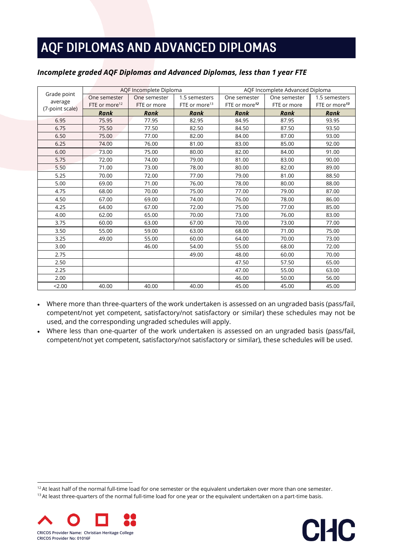### *Incomplete graded AQF Diplomas and Advanced Diplomas, less than 1 year FTE*

|                            |                           | AQF Incomplete Diploma |                           | AQF Incomplete Advanced Diploma |              |                           |
|----------------------------|---------------------------|------------------------|---------------------------|---------------------------------|--------------|---------------------------|
| Grade point                | One semester              | One semester           | 1.5 semesters             | One semester                    | One semester | 1.5 semesters             |
| average<br>(7-point scale) | FTE or more <sup>12</sup> | FTE or more            | FTE or more <sup>13</sup> | FTE or more <sup>12</sup>       | FTE or more  | FTE or more <sup>13</sup> |
|                            | Rank                      | Rank                   | Rank                      | Rank                            | Rank         | Rank                      |
| 6.95                       | 75.95                     | 77.95                  | 82.95                     | 84.95                           | 87.95        | 93.95                     |
| 6.75                       | 75.50                     | 77.50                  | 82.50                     | 84.50                           | 87.50        | 93.50                     |
| 6.50                       | 75.00                     | 77.00                  | 82.00                     | 84.00                           | 87.00        | 93.00                     |
| 6.25                       | 74.00                     | 76.00                  | 81.00                     | 83.00                           | 85.00        | 92.00                     |
| 6.00                       | 73.00                     | 75.00                  | 80.00                     | 82.00                           | 84.00        | 91.00                     |
| 5.75                       | 72.00                     | 74.00                  | 79.00                     | 81.00                           | 83.00        | 90.00                     |
| 5.50                       | 71.00                     | 73.00                  | 78.00                     | 80.00                           | 82.00        | 89.00                     |
| 5.25                       | 70.00                     | 72.00                  | 77.00                     | 79.00                           | 81.00        | 88.50                     |
| 5.00                       | 69.00                     | 71.00                  | 76.00                     | 78.00                           | 80.00        | 88.00                     |
| 4.75                       | 68.00                     | 70.00                  | 75.00                     | 77.00                           | 79.00        | 87.00                     |
| 4.50                       | 67.00                     | 69.00                  | 74.00                     | 76.00                           | 78.00        | 86.00                     |
| 4.25                       | 64.00                     | 67.00                  | 72.00                     | 75.00                           | 77.00        | 85.00                     |
| 4.00                       | 62.00                     | 65.00                  | 70.00                     | 73.00                           | 76.00        | 83.00                     |
| 3.75                       | 60.00                     | 63.00                  | 67.00                     | 70.00                           | 73.00        | 77.00                     |
| 3.50                       | 55.00                     | 59.00                  | 63.00                     | 68.00                           | 71.00        | 75.00                     |
| 3.25                       | 49.00                     | 55.00                  | 60.00                     | 64.00                           | 70.00        | 73.00                     |
| 3.00                       |                           | 46.00                  | 54.00                     | 55.00                           | 68.00        | 72.00                     |
| 2.75                       |                           |                        | 49.00                     | 48.00                           | 60.00        | 70.00                     |
| 2.50                       |                           |                        |                           | 47.50                           | 57.50        | 65.00                     |
| 2.25                       |                           |                        |                           | 47.00                           | 55.00        | 63.00                     |
| 2.00                       |                           |                        |                           | 46.00                           | 50.00        | 56.00                     |
| 2.00                       | 40.00                     | 40.00                  | 40.00                     | 45.00                           | 45.00        | 45.00                     |

• Where more than three-quarters of the work undertaken is assessed on an ungraded basis (pass/fail, competent/not yet competent, satisfactory/not satisfactory or similar) these schedules may not be used, and the corresponding ungraded schedules will apply.

• Where less than one-quarter of the work undertaken is assessed on an ungraded basis (pass/fail, competent/not yet competent, satisfactory/not satisfactory or similar), these schedules will be used.

 $12$  At least half of the normal full-time load for one semester or the equivalent undertaken over more than one semester. <sup>13</sup> At least three-quarters of the normal full-time load for one year or the equivalent undertaken on a part-time basis.



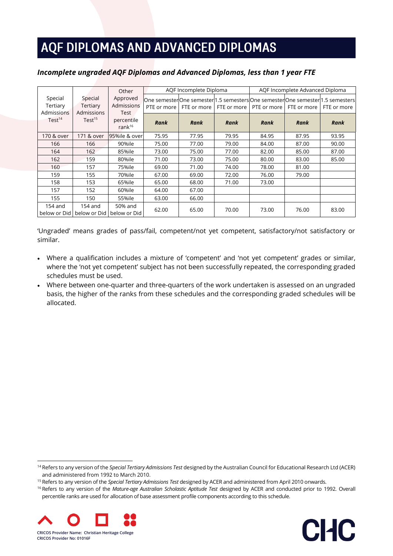### *Incomplete ungraded AQF Diplomas and Advanced Diplomas, less than 1 year FTE*

|                                   |                                          | Other                          |             | AQF Incomplete Diploma                                                                         |       | AQF Incomplete Advanced Diploma |             |             |
|-----------------------------------|------------------------------------------|--------------------------------|-------------|------------------------------------------------------------------------------------------------|-------|---------------------------------|-------------|-------------|
| Special<br>Tertiary<br>Admissions | Special<br>Tertiary<br>Admissions        | Approved<br>Admissions<br>Test | PTE or more | One semesterOne semester 1.5 semesters One semester One semester 1.5 semesters <br>FTE or more |       | FTE or more LPTE or more L      | FTE or more | FTE or more |
| Test <sup>14</sup>                | Test <sup>15</sup>                       | percentile<br>ran $k^{16}$     | Rank        | Rank                                                                                           | Rank  | Rank                            | <b>Rank</b> | Rank        |
| 170 & over                        | 171 & over                               | 95%ile & over                  | 75.95       | 77.95                                                                                          | 79.95 | 84.95                           | 87.95       | 93.95       |
| 166                               | 166                                      | 90%ile                         | 75.00       | 77.00                                                                                          | 79.00 | 84.00                           | 87.00       | 90.00       |
| 164                               | 162                                      | 85%ile                         | 73.00       | 75.00                                                                                          | 77.00 | 82.00                           | 85.00       | 87.00       |
| 162                               | 159                                      | 80%ile                         | 71.00       | 73.00                                                                                          | 75.00 | 80.00                           | 83.00       | 85.00       |
| 160                               | 157                                      | 75%ile                         | 69.00       | 71.00                                                                                          | 74.00 | 78.00                           | 81.00       |             |
| 159                               | 155                                      | 70%ile                         | 67.00       | 69.00                                                                                          | 72.00 | 76.00                           | 79.00       |             |
| 158                               | 153                                      | 65%ile                         | 65.00       | 68.00                                                                                          | 71.00 | 73.00                           |             |             |
| 157                               | 152                                      | 60%ile                         | 64.00       | 67.00                                                                                          |       |                                 |             |             |
| 155                               | 150                                      | 55%ile                         | 63.00       | 66.00                                                                                          |       |                                 |             |             |
| 154 and                           | $154$ and<br>below or Did   below or Did | 50% and<br>below or Did        | 62.00       | 65.00                                                                                          | 70.00 | 73.00                           | 76.00       | 83.00       |

'Ungraded' means grades of pass/fail, competent/not yet competent, satisfactory/not satisfactory or similar.

- Where a qualification includes a mixture of 'competent' and 'not yet competent' grades or similar, where the 'not yet competent' subject has not been successfully repeated, the corresponding graded schedules must be used.
- Where between one-quarter and three-quarters of the work undertaken is assessed on an ungraded basis, the higher of the ranks from these schedules and the corresponding graded schedules will be allocated.

<sup>16</sup> Refers to any version of the *Mature-age Australian Scholastic Aptitude Test* designed by ACER and conducted prior to 1992. Overall percentile ranks are used for allocation of base assessment profile components according to this schedule.





<sup>14</sup> Refers to any version of the *Special Tertiary Admissions Test* designed by the Australian Council for Educational Research Ltd (ACER) and administered from 1992 to March 2010.

<sup>15</sup> Refers to any version of the *Special Tertiary Admissions Test* designed by ACER and administered from April 2010 onwards.